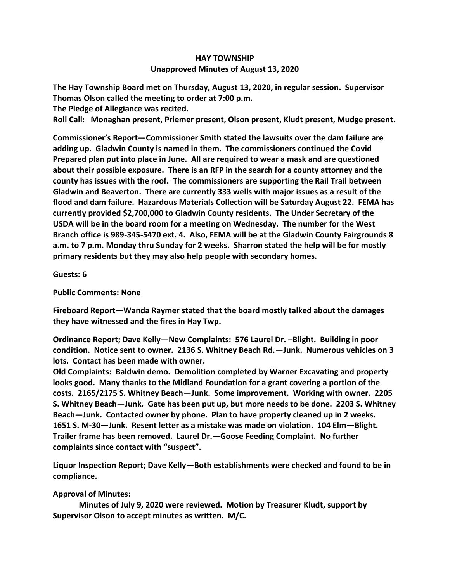## **HAY TOWNSHIP Unapproved Minutes of August 13, 2020**

**The Hay Township Board met on Thursday, August 13, 2020, in regular session. Supervisor Thomas Olson called the meeting to order at 7:00 p.m.** 

**The Pledge of Allegiance was recited.** 

**Roll Call: Monaghan present, Priemer present, Olson present, Kludt present, Mudge present.**

**Commissioner's Report—Commissioner Smith stated the lawsuits over the dam failure are adding up. Gladwin County is named in them. The commissioners continued the Covid Prepared plan put into place in June. All are required to wear a mask and are questioned about their possible exposure. There is an RFP in the search for a county attorney and the county has issues with the roof. The commissioners are supporting the Rail Trail between Gladwin and Beaverton. There are currently 333 wells with major issues as a result of the flood and dam failure. Hazardous Materials Collection will be Saturday August 22. FEMA has currently provided \$2,700,000 to Gladwin County residents. The Under Secretary of the USDA will be in the board room for a meeting on Wednesday. The number for the West Branch office is 989-345-5470 ext. 4. Also, FEMA will be at the Gladwin County Fairgrounds 8 a.m. to 7 p.m. Monday thru Sunday for 2 weeks. Sharron stated the help will be for mostly primary residents but they may also help people with secondary homes.**

## **Guests: 6**

## **Public Comments: None**

**Fireboard Report—Wanda Raymer stated that the board mostly talked about the damages they have witnessed and the fires in Hay Twp.**

**Ordinance Report; Dave Kelly—New Complaints: 576 Laurel Dr. –Blight. Building in poor condition. Notice sent to owner. 2136 S. Whitney Beach Rd.—Junk. Numerous vehicles on 3 lots. Contact has been made with owner.** 

**Old Complaints: Baldwin demo. Demolition completed by Warner Excavating and property looks good. Many thanks to the Midland Foundation for a grant covering a portion of the costs. 2165/2175 S. Whitney Beach—Junk. Some improvement. Working with owner. 2205 S. Whitney Beach—Junk. Gate has been put up, but more needs to be done. 2203 S. Whitney Beach—Junk. Contacted owner by phone. Plan to have property cleaned up in 2 weeks. 1651 S. M-30—Junk. Resent letter as a mistake was made on violation. 104 Elm—Blight. Trailer frame has been removed. Laurel Dr.—Goose Feeding Complaint. No further complaints since contact with "suspect".**

**Liquor Inspection Report; Dave Kelly—Both establishments were checked and found to be in compliance.**

## **Approval of Minutes:**

 **Minutes of July 9, 2020 were reviewed. Motion by Treasurer Kludt, support by Supervisor Olson to accept minutes as written. M/C.**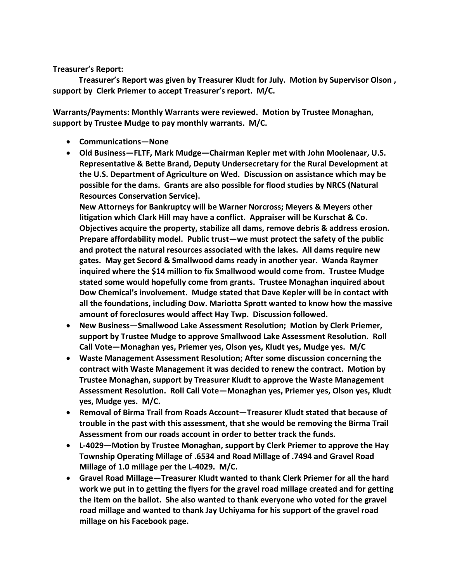**Treasurer's Report:**

 **Treasurer's Report was given by Treasurer Kludt for July. Motion by Supervisor Olson , support by Clerk Priemer to accept Treasurer's report. M/C.**

**Warrants/Payments: Monthly Warrants were reviewed. Motion by Trustee Monaghan, support by Trustee Mudge to pay monthly warrants. M/C.**

- **Communications—None**
- **Old Business—FLTF, Mark Mudge—Chairman Kepler met with John Moolenaar, U.S. Representative & Bette Brand, Deputy Undersecretary for the Rural Development at the U.S. Department of Agriculture on Wed. Discussion on assistance which may be possible for the dams. Grants are also possible for flood studies by NRCS (Natural Resources Conservation Service).**

**New Attorneys for Bankruptcy will be Warner Norcross; Meyers & Meyers other litigation which Clark Hill may have a conflict. Appraiser will be Kurschat & Co. Objectives acquire the property, stabilize all dams, remove debris & address erosion. Prepare affordability model. Public trust—we must protect the safety of the public and protect the natural resources associated with the lakes. All dams require new gates. May get Secord & Smallwood dams ready in another year. Wanda Raymer inquired where the \$14 million to fix Smallwood would come from. Trustee Mudge stated some would hopefully come from grants. Trustee Monaghan inquired about Dow Chemical's involvement. Mudge stated that Dave Kepler will be in contact with all the foundations, including Dow. Mariotta Sprott wanted to know how the massive amount of foreclosures would affect Hay Twp. Discussion followed.**

- **New Business—Smallwood Lake Assessment Resolution; Motion by Clerk Priemer, support by Trustee Mudge to approve Smallwood Lake Assessment Resolution. Roll Call Vote—Monaghan yes, Priemer yes, Olson yes, Kludt yes, Mudge yes. M/C**
- **Waste Management Assessment Resolution; After some discussion concerning the contract with Waste Management it was decided to renew the contract. Motion by Trustee Monaghan, support by Treasurer Kludt to approve the Waste Management Assessment Resolution. Roll Call Vote—Monaghan yes, Priemer yes, Olson yes, Kludt yes, Mudge yes. M/C.**
- **Removal of Birma Trail from Roads Account—Treasurer Kludt stated that because of trouble in the past with this assessment, that she would be removing the Birma Trail Assessment from our roads account in order to better track the funds.**
- **L-4029—Motion by Trustee Monaghan, support by Clerk Priemer to approve the Hay Township Operating Millage of .6534 and Road Millage of .7494 and Gravel Road Millage of 1.0 millage per the L-4029. M/C.**
- **Gravel Road Millage—Treasurer Kludt wanted to thank Clerk Priemer for all the hard work we put in to getting the flyers for the gravel road millage created and for getting the item on the ballot. She also wanted to thank everyone who voted for the gravel road millage and wanted to thank Jay Uchiyama for his support of the gravel road millage on his Facebook page.**